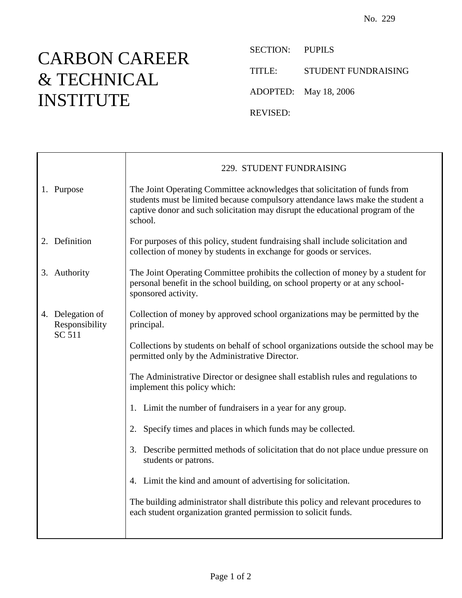## CARBON CAREER & TECHNICAL INSTITUTE

SECTION: PUPILS TITLE: STUDENT FUNDRAISING ADOPTED: May 18, 2006 REVISED:

|  | 1. Purpose                                          | 229. STUDENT FUNDRAISING                                                                                                                                                                                                                                  |  |  |
|--|-----------------------------------------------------|-----------------------------------------------------------------------------------------------------------------------------------------------------------------------------------------------------------------------------------------------------------|--|--|
|  |                                                     | The Joint Operating Committee acknowledges that solicitation of funds from<br>students must be limited because compulsory attendance laws make the student a<br>captive donor and such solicitation may disrupt the educational program of the<br>school. |  |  |
|  | 2. Definition                                       | For purposes of this policy, student fundraising shall include solicitation and<br>collection of money by students in exchange for goods or services.                                                                                                     |  |  |
|  | 3. Authority                                        | The Joint Operating Committee prohibits the collection of money by a student for<br>personal benefit in the school building, on school property or at any school-<br>sponsored activity.                                                                  |  |  |
|  | 4. Delegation of<br>Responsibility<br><b>SC 511</b> | Collection of money by approved school organizations may be permitted by the<br>principal.                                                                                                                                                                |  |  |
|  |                                                     | Collections by students on behalf of school organizations outside the school may be<br>permitted only by the Administrative Director.                                                                                                                     |  |  |
|  |                                                     | The Administrative Director or designee shall establish rules and regulations to<br>implement this policy which:                                                                                                                                          |  |  |
|  |                                                     | 1. Limit the number of fundraisers in a year for any group.                                                                                                                                                                                               |  |  |
|  |                                                     | 2. Specify times and places in which funds may be collected.                                                                                                                                                                                              |  |  |
|  |                                                     | 3. Describe permitted methods of solicitation that do not place undue pressure on<br>students or patrons.                                                                                                                                                 |  |  |
|  |                                                     | 4. Limit the kind and amount of advertising for solicitation.                                                                                                                                                                                             |  |  |
|  |                                                     | The building administrator shall distribute this policy and relevant procedures to<br>each student organization granted permission to solicit funds.                                                                                                      |  |  |
|  |                                                     |                                                                                                                                                                                                                                                           |  |  |